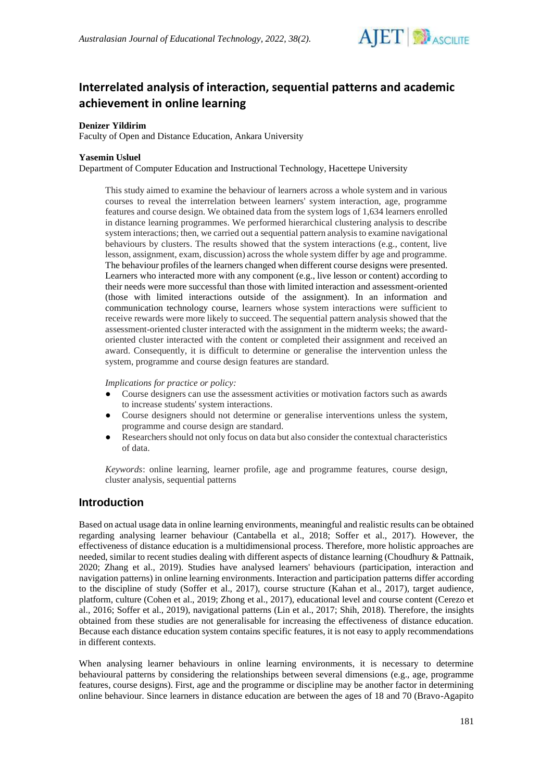

# **Interrelated analysis of interaction, sequential patterns and academic achievement in online learning**

## **Denizer Yildirim**

Faculty of Open and Distance Education, Ankara University

#### **Yasemin Usluel**

Department of Computer Education and Instructional Technology, Hacettepe University

This study aimed to examine the behaviour of learners across a whole system and in various courses to reveal the interrelation between learners' system interaction, age, programme features and course design. We obtained data from the system logs of 1,634 learners enrolled in distance learning programmes. We performed hierarchical clustering analysis to describe system interactions; then, we carried out a sequential pattern analysis to examine navigational behaviours by clusters. The results showed that the system interactions (e.g., content, live lesson, assignment, exam, discussion) across the whole system differ by age and programme. The behaviour profiles of the learners changed when different course designs were presented. Learners who interacted more with any component (e.g., live lesson or content) according to their needs were more successful than those with limited interaction and assessment-oriented (those with limited interactions outside of the assignment). In an information and communication technology course, learners whose system interactions were sufficient to receive rewards were more likely to succeed. The sequential pattern analysis showed that the assessment-oriented cluster interacted with the assignment in the midterm weeks; the awardoriented cluster interacted with the content or completed their assignment and received an award. Consequently, it is difficult to determine or generalise the intervention unless the system, programme and course design features are standard.

#### *Implications for practice or policy:*

- Course designers can use the assessment activities or motivation factors such as awards to increase students' system interactions.
- Course designers should not determine or generalise interventions unless the system, programme and course design are standard.
- Researchers should not only focus on data but also consider the contextual characteristics of data.

*Keywords*: online learning, learner profile, age and programme features, course design, cluster analysis, sequential patterns

## **Introduction**

Based on actual usage data in online learning environments, meaningful and realistic results can be obtained regarding analysing learner behaviour (Cantabella et al., 2018; Soffer et al., 2017). However, the effectiveness of distance education is a multidimensional process. Therefore, more holistic approaches are needed, similar to recent studies dealing with different aspects of distance learning (Choudhury & Pattnaik, 2020; Zhang et al., 2019). Studies have analysed learners' behaviours (participation, interaction and navigation patterns) in online learning environments. Interaction and participation patterns differ according to the discipline of study (Soffer et al., 2017), course structure (Kahan et al., 2017), target audience, platform, culture (Cohen et al., 2019; Zhong et al., 2017), educational level and course content (Cerezo et al., 2016; Soffer et al., 2019), navigational patterns (Lin et al., 2017; Shih, 2018). Therefore, the insights obtained from these studies are not generalisable for increasing the effectiveness of distance education. Because each distance education system contains specific features, it is not easy to apply recommendations in different contexts.

When analysing learner behaviours in online learning environments, it is necessary to determine behavioural patterns by considering the relationships between several dimensions (e.g., age, programme features, course designs). First, age and the programme or discipline may be another factor in determining online behaviour. Since learners in distance education are between the ages of 18 and 70 (Bravo-Agapito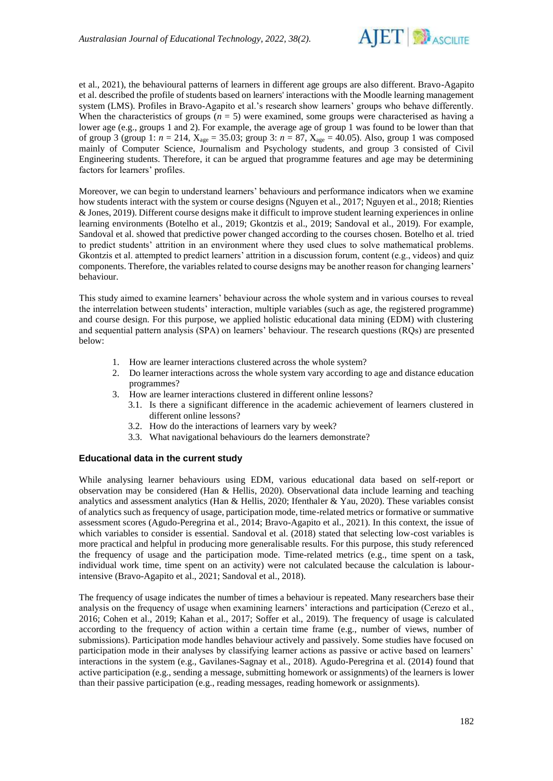

et al., 2021), the behavioural patterns of learners in different age groups are also different. Bravo-Agapito et al. described the profile of students based on learners' interactions with the Moodle learning management system (LMS). Profiles in Bravo-Agapito et al.'s research show learners' groups who behave differently. When the characteristics of groups  $(n = 5)$  were examined, some groups were characterised as having a lower age (e.g., groups 1 and 2). For example, the average age of group 1 was found to be lower than that of group 3 (group 1: *n* = 214, Xage = 35.03; group 3: *n* = 87, Xage = 40.05). Also, group 1 was composed mainly of Computer Science, Journalism and Psychology students, and group 3 consisted of Civil Engineering students. Therefore, it can be argued that programme features and age may be determining factors for learners' profiles.

Moreover, we can begin to understand learners' behaviours and performance indicators when we examine how students interact with the system or course designs (Nguyen et al., 2017; Nguyen et al., 2018; Rienties & Jones, 2019). Different course designs make it difficult to improve student learning experiences in online learning environments (Botelho et al., 2019; Gkontzis et al., 2019; Sandoval et al., 2019). For example, Sandoval et al. showed that predictive power changed according to the courses chosen. Botelho et al. tried to predict students' attrition in an environment where they used clues to solve mathematical problems. Gkontzis et al. attempted to predict learners' attrition in a discussion forum, content (e.g., videos) and quiz components. Therefore, the variables related to course designs may be another reason for changing learners' behaviour.

This study aimed to examine learners' behaviour across the whole system and in various courses to reveal the interrelation between students' interaction, multiple variables (such as age, the registered programme) and course design. For this purpose, we applied holistic educational data mining (EDM) with clustering and sequential pattern analysis (SPA) on learners' behaviour. The research questions (RQs) are presented below:

- 1. How are learner interactions clustered across the whole system?
- 2. Do learner interactions across the whole system vary according to age and distance education programmes?
- 3. How are learner interactions clustered in different online lessons?
	- 3.1. Is there a significant difference in the academic achievement of learners clustered in different online lessons?
	- 3.2. How do the interactions of learners vary by week?
	- 3.3. What navigational behaviours do the learners demonstrate?

## **Educational data in the current study**

While analysing learner behaviours using EDM, various educational data based on self-report or observation may be considered (Han & Hellis, 2020). Observational data include learning and teaching analytics and assessment analytics (Han & Hellis, 2020; Ifenthaler & Yau, 2020). These variables consist of analytics such as frequency of usage, participation mode, time-related metrics or formative or summative assessment scores (Agudo-Peregrina et al., 2014; Bravo-Agapito et al., 2021). In this context, the issue of which variables to consider is essential. Sandoval et al. (2018) stated that selecting low-cost variables is more practical and helpful in producing more generalisable results. For this purpose, this study referenced the frequency of usage and the participation mode. Time-related metrics (e.g., time spent on a task, individual work time, time spent on an activity) were not calculated because the calculation is labourintensive (Bravo-Agapito et al., 2021; Sandoval et al., 2018).

The frequency of usage indicates the number of times a behaviour is repeated. Many researchers base their analysis on the frequency of usage when examining learners' interactions and participation (Cerezo et al., 2016; Cohen et al., 2019; Kahan et al., 2017; Soffer et al., 2019). The frequency of usage is calculated according to the frequency of action within a certain time frame (e.g., number of views, number of submissions). Participation mode handles behaviour actively and passively. Some studies have focused on participation mode in their analyses by classifying learner actions as passive or active based on learners' interactions in the system (e.g., Gavilanes-Sagnay et al., 2018). Agudo-Peregrina et al. (2014) found that active participation (e.g., sending a message, submitting homework or assignments) of the learners is lower than their passive participation (e.g., reading messages, reading homework or assignments).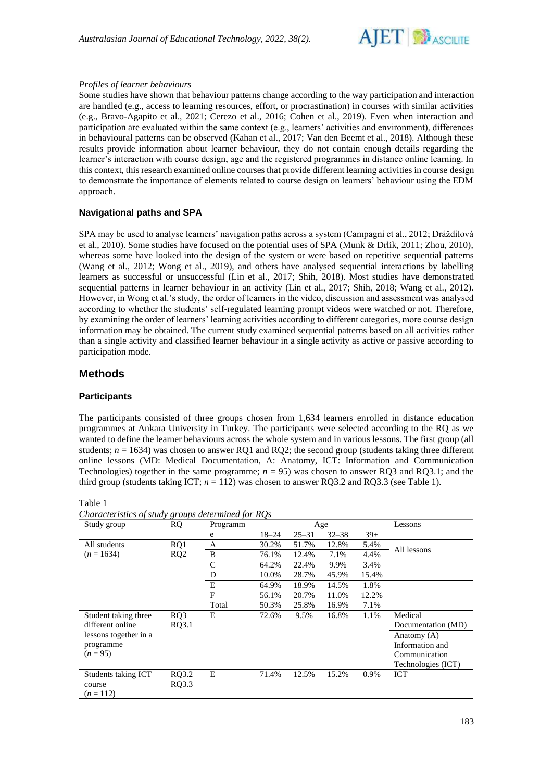

#### *Profiles of learner behaviours*

Some studies have shown that behaviour patterns change according to the way participation and interaction are handled (e.g., access to learning resources, effort, or procrastination) in courses with similar activities (e.g., Bravo-Agapito et al., 2021; Cerezo et al., 2016; Cohen et al., 2019). Even when interaction and participation are evaluated within the same context (e.g., learners' activities and environment), differences in behavioural patterns can be observed (Kahan et al., 2017; Van den Beemt et al., 2018). Although these results provide information about learner behaviour, they do not contain enough details regarding the learner's interaction with course design, age and the registered programmes in distance online learning. In this context, this research examined online courses that provide different learning activities in course design to demonstrate the importance of elements related to course design on learners' behaviour using the EDM approach.

### **Navigational paths and SPA**

SPA may be used to analyse learners' navigation paths across a system (Campagni et al., 2012; Dráždilová et al., 2010). Some studies have focused on the potential uses of SPA (Munk & Drlik, 2011; Zhou, 2010), whereas some have looked into the design of the system or were based on repetitive sequential patterns (Wang et al., 2012; Wong et al., 2019), and others have analysed sequential interactions by labelling learners as successful or unsuccessful (Lin et al., 2017; Shih, 2018). Most studies have demonstrated sequential patterns in learner behaviour in an activity (Lin et al., 2017; Shih, 2018; Wang et al., 2012). However, in Wong et al.'s study, the order of learners in the video, discussion and assessment was analysed according to whether the students' self-regulated learning prompt videos were watched or not. Therefore, by examining the order of learners' learning activities according to different categories, more course design information may be obtained. The current study examined sequential patterns based on all activities rather than a single activity and classified learner behaviour in a single activity as active or passive according to participation mode.

## **Methods**

#### **Participants**

The participants consisted of three groups chosen from 1,634 learners enrolled in distance education programmes at Ankara University in Turkey. The participants were selected according to the RQ as we wanted to define the learner behaviours across the whole system and in various lessons. The first group (all students;  $n = 1634$ ) was chosen to answer RQ1 and RQ2; the second group (students taking three different online lessons (MD: Medical Documentation, A: Anatomy, ICT: Information and Communication Technologies) together in the same programme; *n* = 95) was chosen to answer RQ3 and RQ3.1; and the third group (students taking ICT;  $n = 112$ ) was chosen to answer RQ3.2 and RQ3.3 (see Table 1).

| Characteristics of study groups determined for RQs |                 |              |           |           |           |       |                    |
|----------------------------------------------------|-----------------|--------------|-----------|-----------|-----------|-------|--------------------|
| Study group                                        | <b>RQ</b>       | Programm     |           |           | Age       |       | Lessons            |
|                                                    |                 | e            | $18 - 24$ | $25 - 31$ | $32 - 38$ | $39+$ |                    |
| All students                                       | RQ1             | A            | 30.2%     | 51.7%     | 12.8%     | 5.4%  | All lessons        |
| $(n = 1634)$                                       | RQ <sub>2</sub> | B            | 76.1%     | 12.4%     | 7.1%      | 4.4%  |                    |
|                                                    |                 | $\mathsf{C}$ | 64.2%     | 22.4%     | 9.9%      | 3.4%  |                    |
|                                                    |                 | D            | 10.0%     | 28.7%     | 45.9%     | 15.4% |                    |
|                                                    |                 | E            | 64.9%     | 18.9%     | 14.5%     | 1.8%  |                    |
|                                                    |                 | F            | 56.1%     | 20.7%     | 11.0%     | 12.2% |                    |
|                                                    |                 | Total        | 50.3%     | 25.8%     | 16.9%     | 7.1%  |                    |
| Student taking three                               | RO3             | E            | 72.6%     | 9.5%      | 16.8%     | 1.1%  | Medical            |
| different online                                   | RQ3.1           |              |           |           |           |       | Documentation (MD) |
| lessons together in a                              |                 |              |           |           |           |       | Anatomy (A)        |
| programme                                          |                 |              |           |           |           |       | Information and    |
| $(n=95)$                                           |                 |              |           |           |           |       | Communication      |
|                                                    |                 |              |           |           |           |       | Technologies (ICT) |
| Students taking ICT                                | RQ3.2           | E            | 71.4%     | 12.5%     | 15.2%     | 0.9%  | ICT                |
| course                                             | RQ3.3           |              |           |           |           |       |                    |
| $(n=112)$                                          |                 |              |           |           |           |       |                    |

#### Table 1

*Characteristics of study groups determined for RQs*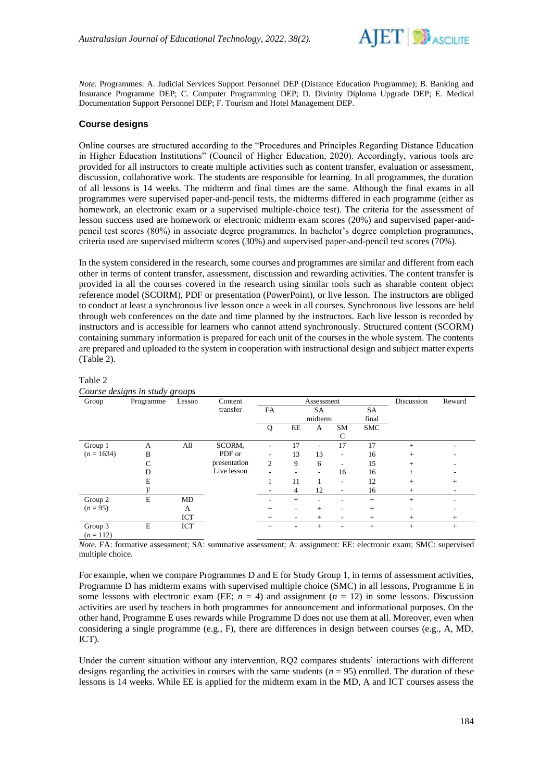

*Note.* Programmes: A. Judicial Services Support Personnel DEP (Distance Education Programme); B. Banking and Insurance Programme DEP; C. Computer Programming DEP; D. Divinity Diploma Upgrade DEP; E. Medical Documentation Support Personnel DEP; F. Tourism and Hotel Management DEP.

### **Course designs**

Online courses are structured according to the "Procedures and Principles Regarding Distance Education in Higher Education Institutions" (Council of Higher Education, 2020). Accordingly, various tools are provided for all instructors to create multiple activities such as content transfer, evaluation or assessment, discussion, collaborative work. The students are responsible for learning. In all programmes, the duration of all lessons is 14 weeks. The midterm and final times are the same. Although the final exams in all programmes were supervised paper-and-pencil tests, the midterms differed in each programme (either as homework, an electronic exam or a supervised multiple-choice test). The criteria for the assessment of lesson success used are homework or electronic midterm exam scores (20%) and supervised paper-andpencil test scores (80%) in associate degree programmes. In bachelor's degree completion programmes, criteria used are supervised midterm scores (30%) and supervised paper-and-pencil test scores (70%).

In the system considered in the research, some courses and programmes are similar and different from each other in terms of content transfer, assessment, discussion and rewarding activities. The content transfer is provided in all the courses covered in the research using similar tools such as sharable content object reference model (SCORM), PDF or presentation (PowerPoint), or live lesson. The instructors are obliged to conduct at least a synchronous live lesson once a week in all courses. Synchronous live lessons are held through web conferences on the date and time planned by the instructors. Each live lesson is recorded by instructors and is accessible for learners who cannot attend synchronously. Structured content (SCORM) containing summary information is prepared for each unit of the courses in the whole system. The contents are prepared and uploaded to the system in cooperation with instructional design and subject matter experts (Table 2).

#### Table 2

| ***** <i>*</i> | Course designs in study groups |        |              |            |        |                          |                          |            |            |        |
|----------------|--------------------------------|--------|--------------|------------|--------|--------------------------|--------------------------|------------|------------|--------|
| Group          | Programme                      | Lesson | Content      | Assessment |        |                          |                          |            | Discussion | Reward |
|                |                                |        | transfer     | FA         |        | SA                       |                          | SA         |            |        |
|                |                                |        |              |            |        | midterm                  |                          | final      |            |        |
|                |                                |        |              | Q          | EE     | A                        | SM                       | <b>SMC</b> |            |        |
|                |                                |        |              |            |        |                          | C                        |            |            |        |
| Group 1        | A                              | All    | SCORM.       |            | 17     | ٠                        | 17                       | 17         | $+$        |        |
| $(n = 1634)$   | B                              |        | PDF or       |            | 13     | 13                       | ٠                        | 16         | $+$        |        |
|                | C                              |        | presentation | 2          | 9      | 6                        |                          | 15         | $^{+}$     |        |
|                | D                              |        | Live lesson  |            |        | $\overline{\phantom{a}}$ | 16                       | 16         | $^{+}$     |        |
|                | E                              |        |              |            | 11     |                          | $\overline{\phantom{a}}$ | 12         | $+$        | $^+$   |
|                | F                              |        |              |            | 4      | 12                       | ۰.                       | 16         | $^{+}$     |        |
| Group 2        | E                              | MD     |              |            | $^{+}$ | ٠                        |                          | $+$        | $^{+}$     |        |
| $(n = 95)$     |                                | А      |              | $^{+}$     | ۰      | $+$                      | $\overline{\phantom{a}}$ | $+$        |            |        |
|                |                                | ICT    |              | $^+$       | ٠      | $^{+}$                   | $\overline{\phantom{a}}$ | $+$        | $^{+}$     | $^+$   |
| Group 3        | E                              | ICT    |              | $^{+}$     |        | $+$                      |                          | $+$        | $+$        | $+$    |
| $(n = 112)$    |                                |        |              |            |        |                          |                          |            |            |        |

*Note.* FA: formative assessment; SA: summative assessment; A: assignment: EE: electronic exam; SMC: supervised multiple choice.

For example, when we compare Programmes D and E for Study Group 1, in terms of assessment activities, Programme D has midterm exams with supervised multiple choice (SMC) in all lessons, Programme E in some lessons with electronic exam (EE;  $n = 4$ ) and assignment ( $n = 12$ ) in some lessons. Discussion activities are used by teachers in both programmes for announcement and informational purposes. On the other hand, Programme E uses rewards while Programme D does not use them at all. Moreover, even when considering a single programme (e.g., F), there are differences in design between courses (e.g., A, MD, ICT).

Under the current situation without any intervention, RQ2 compares students' interactions with different designs regarding the activities in courses with the same students  $(n = 95)$  enrolled. The duration of these lessons is 14 weeks. While EE is applied for the midterm exam in the MD, A and ICT courses assess the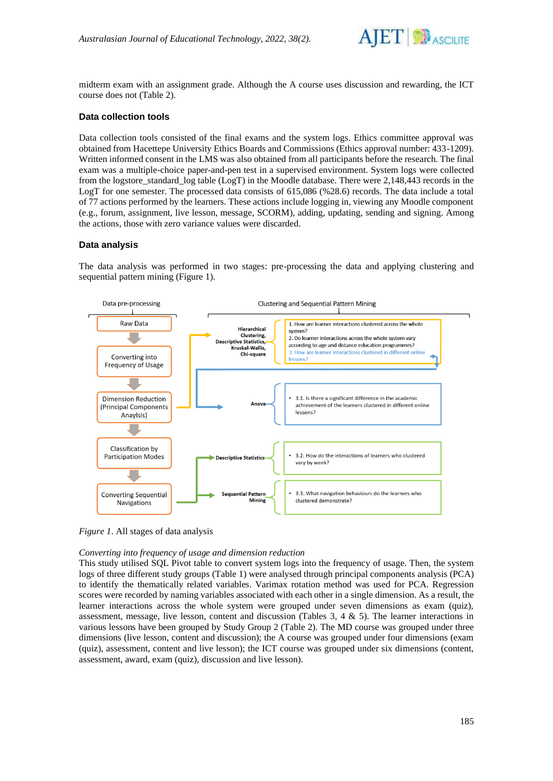

midterm exam with an assignment grade. Although the A course uses discussion and rewarding, the ICT course does not (Table 2).

## **Data collection tools**

Data collection tools consisted of the final exams and the system logs. Ethics committee approval was obtained from Hacettepe University Ethics Boards and Commissions (Ethics approval number: 433-1209). Written informed consent in the LMS was also obtained from all participants before the research. The final exam was a multiple-choice paper-and-pen test in a supervised environment. System logs were collected from the logstore\_standard\_log table (LogT) in the Moodle database. There were 2,148,443 records in the LogT for one semester. The processed data consists of 615,086 (%28.6) records. The data include a total of 77 actions performed by the learners. These actions include logging in, viewing any Moodle component (e.g., forum, assignment, live lesson, message, SCORM), adding, updating, sending and signing. Among the actions, those with zero variance values were discarded.

## **Data analysis**

The data analysis was performed in two stages: pre-processing the data and applying clustering and sequential pattern mining (Figure 1).



*Figure 1*. All stages of data analysis

## *Converting into frequency of usage and dimension reduction*

This study utilised SQL Pivot table to convert system logs into the frequency of usage. Then, the system logs of three different study groups (Table 1) were analysed through principal components analysis (PCA) to identify the thematically related variables. Varimax rotation method was used for PCA. Regression scores were recorded by naming variables associated with each other in a single dimension. As a result, the learner interactions across the whole system were grouped under seven dimensions as exam (quiz), assessment, message, live lesson, content and discussion (Tables  $3, 4 \& 5$ ). The learner interactions in various lessons have been grouped by Study Group 2 (Table 2). The MD course was grouped under three dimensions (live lesson, content and discussion); the A course was grouped under four dimensions (exam (quiz), assessment, content and live lesson); the ICT course was grouped under six dimensions (content, assessment, award, exam (quiz), discussion and live lesson).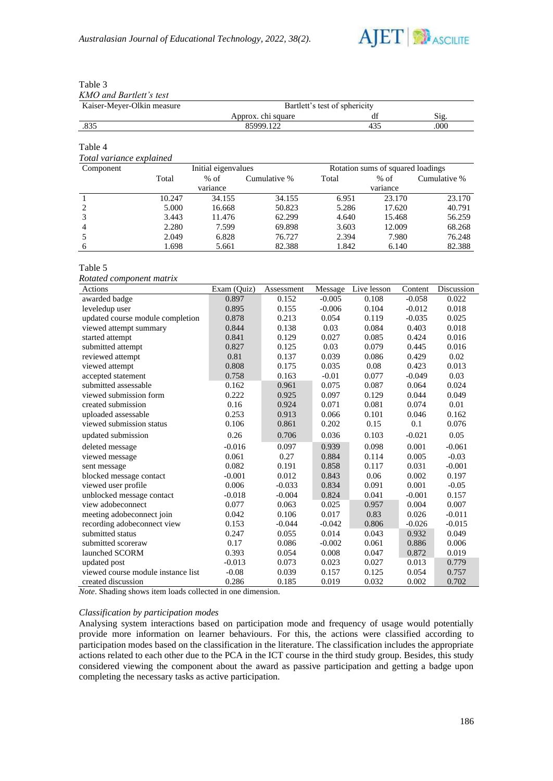

## Table 3

*KMO and Bartlett's test*

| Kaiser-Meyer-Olkin measure | Bartlett's test of sphericity |    |      |  |  |  |
|----------------------------|-------------------------------|----|------|--|--|--|
|                            | Approx. chi square            | df | S12. |  |  |  |
| .835                       | 85999.122                     |    | 000  |  |  |  |

#### Table 4

## *Total variance explained*

| Component      |        | Initial eigenvalues |              | Rotation sums of squared loadings |          |              |  |
|----------------|--------|---------------------|--------------|-----------------------------------|----------|--------------|--|
|                | Total  | $%$ of              | Cumulative % | Total                             | $%$ of   | Cumulative % |  |
|                |        | variance            |              |                                   | variance |              |  |
|                | 10.247 | 34.155              | 34.155       | 6.951                             | 23.170   | 23.170       |  |
| 2              | 5.000  | 16.668              | 50.823       | 5.286                             | 17.620   | 40.791       |  |
| 3              | 3.443  | 11.476              | 62.299       | 4.640                             | 15.468   | 56.259       |  |
| $\overline{4}$ | 2.280  | 7.599               | 69.898       | 3.603                             | 12.009   | 68.268       |  |
| .5             | 2.049  | 6.828               | 76.727       | 2.394                             | 7.980    | 76.248       |  |
| 6              | 1.698  | 5.661               | 82.388       | 1.842                             | 6.140    | 82.388       |  |

#### Table 5

*Rotated component matrix*

| Actions                            | Exam (Quiz) | Assessment | Message  | Live lesson | Content  | Discussion |
|------------------------------------|-------------|------------|----------|-------------|----------|------------|
| awarded badge                      | 0.897       | 0.152      | $-0.005$ | 0.108       | $-0.058$ | 0.022      |
| leveledup user                     | 0.895       | 0.155      | $-0.006$ | 0.104       | $-0.012$ | 0.018      |
| updated course module completion   | 0.878       | 0.213      | 0.054    | 0.119       | $-0.035$ | 0.025      |
| viewed attempt summary             | 0.844       | 0.138      | 0.03     | 0.084       | 0.403    | 0.018      |
| started attempt                    | 0.841       | 0.129      | 0.027    | 0.085       | 0.424    | 0.016      |
| submitted attempt                  | 0.827       | 0.125      | 0.03     | 0.079       | 0.445    | 0.016      |
| reviewed attempt                   | 0.81        | 0.137      | 0.039    | 0.086       | 0.429    | 0.02       |
| viewed attempt                     | 0.808       | 0.175      | 0.035    | 0.08        | 0.423    | 0.013      |
| accepted statement                 | 0.758       | 0.163      | $-0.01$  | 0.077       | $-0.049$ | 0.03       |
| submitted assessable               | 0.162       | 0.961      | 0.075    | 0.087       | 0.064    | 0.024      |
| viewed submission form             | 0.222       | 0.925      | 0.097    | 0.129       | 0.044    | 0.049      |
| created submission                 | 0.16        | 0.924      | 0.071    | 0.081       | 0.074    | 0.01       |
| uploaded assessable                | 0.253       | 0.913      | 0.066    | 0.101       | 0.046    | 0.162      |
| viewed submission status           | 0.106       | 0.861      | 0.202    | 0.15        | 0.1      | 0.076      |
| updated submission                 | 0.26        | 0.706      | 0.036    | 0.103       | $-0.021$ | 0.05       |
| deleted message                    | $-0.016$    | 0.097      | 0.939    | 0.098       | 0.001    | $-0.061$   |
| viewed message                     | 0.061       | 0.27       | 0.884    | 0.114       | 0.005    | $-0.03$    |
| sent message                       | 0.082       | 0.191      | 0.858    | 0.117       | 0.031    | $-0.001$   |
| blocked message contact            | $-0.001$    | 0.012      | 0.843    | 0.06        | 0.002    | 0.197      |
| viewed user profile                | 0.006       | $-0.033$   | 0.834    | 0.091       | 0.001    | $-0.05$    |
| unblocked message contact          | $-0.018$    | $-0.004$   | 0.824    | 0.041       | $-0.001$ | 0.157      |
| view adobeconnect                  | 0.077       | 0.063      | 0.025    | 0.957       | 0.004    | 0.007      |
| meeting adobeconnect join          | 0.042       | 0.106      | 0.017    | 0.83        | 0.026    | $-0.011$   |
| recording adobeconnect view        | 0.153       | $-0.044$   | $-0.042$ | 0.806       | $-0.026$ | $-0.015$   |
| submitted status                   | 0.247       | 0.055      | 0.014    | 0.043       | 0.932    | 0.049      |
| submitted scoreraw                 | 0.17        | 0.086      | $-0.002$ | 0.061       | 0.886    | 0.006      |
| launched SCORM                     | 0.393       | 0.054      | 0.008    | 0.047       | 0.872    | 0.019      |
| updated post                       | $-0.013$    | 0.073      | 0.023    | 0.027       | 0.013    | 0.779      |
| viewed course module instance list | $-0.08$     | 0.039      | 0.157    | 0.125       | 0.054    | 0.757      |
| created discussion                 | 0.286       | 0.185      | 0.019    | 0.032       | 0.002    | 0.702      |

*Note*. Shading shows item loads collected in one dimension.

### *Classification by participation modes*

Analysing system interactions based on participation mode and frequency of usage would potentially provide more information on learner behaviours. For this, the actions were classified according to participation modes based on the classification in the literature. The classification includes the appropriate actions related to each other due to the PCA in the ICT course in the third study group. Besides, this study considered viewing the component about the award as passive participation and getting a badge upon completing the necessary tasks as active participation.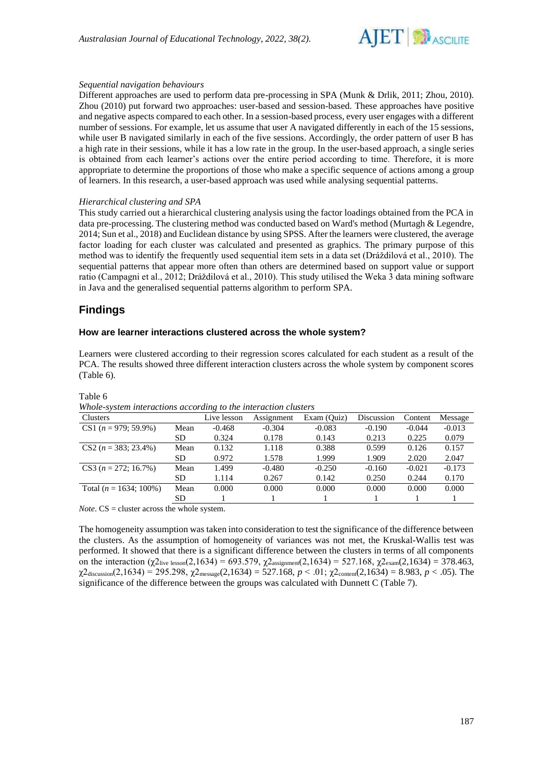

#### *Sequential navigation behaviours*

Different approaches are used to perform data pre-processing in SPA (Munk & Drlik, 2011; Zhou, 2010). Zhou (2010) put forward two approaches: user-based and session-based. These approaches have positive and negative aspects compared to each other. In a session-based process, every user engages with a different number of sessions. For example, let us assume that user A navigated differently in each of the 15 sessions, while user B navigated similarly in each of the five sessions. Accordingly, the order pattern of user B has a high rate in their sessions, while it has a low rate in the group. In the user-based approach, a single series is obtained from each learner's actions over the entire period according to time. Therefore, it is more appropriate to determine the proportions of those who make a specific sequence of actions among a group of learners. In this research, a user-based approach was used while analysing sequential patterns.

#### *Hierarchical clustering and SPA*

This study carried out a hierarchical clustering analysis using the factor loadings obtained from the PCA in data pre-processing. The clustering method was conducted based on Ward's method (Murtagh & Legendre, 2014; Sun et al., 2018) and Euclidean distance by using SPSS. After the learners were clustered, the average factor loading for each cluster was calculated and presented as graphics. The primary purpose of this method was to identify the frequently used sequential item sets in a data set (Dráždilová et al., 2010). The sequential patterns that appear more often than others are determined based on support value or support ratio (Campagni et al., 2012; Dráždilová et al., 2010). This study utilised the Weka 3 data mining software in Java and the generalised sequential patterns algorithm to perform SPA.

## **Findings**

#### **How are learner interactions clustered across the whole system?**

Learners were clustered according to their regression scores calculated for each student as a result of the PCA. The results showed three different interaction clusters across the whole system by component scores (Table 6).

| Whole-system interactions according to the interaction clusters |      |             |            |             |            |          |          |  |
|-----------------------------------------------------------------|------|-------------|------------|-------------|------------|----------|----------|--|
| Clusters                                                        |      | Live lesson | Assignment | Exam (Quiz) | Discussion | Content  | Message  |  |
| $CS1 (n = 979; 59.9\%)$                                         | Mean | $-0.468$    | $-0.304$   | $-0.083$    | $-0.190$   | $-0.044$ | $-0.013$ |  |
|                                                                 | SD   | 0.324       | 0.178      | 0.143       | 0.213      | 0.225    | 0.079    |  |
| $CS2 (n = 383; 23.4\%)$                                         | Mean | 0.132       | 1.118      | 0.388       | 0.599      | 0.126    | 0.157    |  |
|                                                                 | SD   | 0.972       | 1.578      | 1.999       | 1.909      | 2.020    | 2.047    |  |
| $CS3 (n = 272; 16.7\%)$                                         | Mean | 1.499       | $-0.480$   | $-0.250$    | $-0.160$   | $-0.021$ | $-0.173$ |  |
|                                                                 | SD   | 1.114       | 0.267      | 0.142       | 0.250      | 0.244    | 0.170    |  |
| Total ( $n = 1634$ ; 100%)                                      | Mean | 0.000       | 0.000      | 0.000       | 0.000      | 0.000    | 0.000    |  |
|                                                                 | SD   |             |            |             |            |          |          |  |
|                                                                 |      |             |            |             |            |          |          |  |

Table 6

*Whole-system interactions according to the interaction clusters*

*Note*. CS = cluster across the whole system.

The homogeneity assumption was taken into consideration to test the significance of the difference between the clusters. As the assumption of homogeneity of variances was not met, the Kruskal-Wallis test was performed. It showed that there is a significant difference between the clusters in terms of all components on the interaction (χ2<sub>live lesson</sub>(2,1634) = 693.579, χ2<sub>assignment</sub>(2,1634) = 527.168, χ2<sub>exam</sub>(2,1634) = 378.463, χ2discussion(2,1634) = 295.298, χ2message(2,1634) = 527.168, *p* < .01; χ2content(2,1634) = 8.983, *p* < .05). The significance of the difference between the groups was calculated with Dunnett C (Table 7).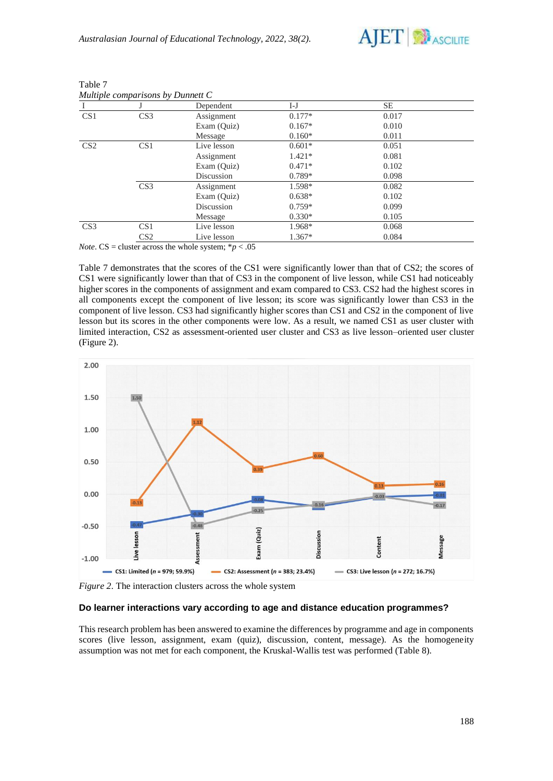

|                 |                 | Dependent   | I-J      | SE    |  |
|-----------------|-----------------|-------------|----------|-------|--|
| CS <sub>1</sub> | CS <sub>3</sub> | Assignment  | $0.177*$ | 0.017 |  |
|                 |                 | Exam (Quiz) | $0.167*$ | 0.010 |  |
|                 |                 | Message     | $0.160*$ | 0.011 |  |
| CS <sub>2</sub> | CS <sub>1</sub> | Live lesson | $0.601*$ | 0.051 |  |
|                 |                 | Assignment  | $1.421*$ | 0.081 |  |
|                 |                 | Exam (Quiz) | $0.471*$ | 0.102 |  |
|                 |                 | Discussion  | $0.789*$ | 0.098 |  |
|                 | CS <sub>3</sub> | Assignment  | 1.598*   | 0.082 |  |
|                 |                 | Exam (Quiz) | $0.638*$ | 0.102 |  |
|                 |                 | Discussion  | $0.759*$ | 0.099 |  |
|                 |                 | Message     | $0.330*$ | 0.105 |  |
| CS <sub>3</sub> | CS <sub>1</sub> | Live lesson | 1.968*   | 0.068 |  |
|                 | CS <sub>2</sub> | Live lesson | $1.367*$ | 0.084 |  |

| Table 7 |                                   |  |  |
|---------|-----------------------------------|--|--|
|         | Multiple comparisons by Dunnett C |  |  |

*Note*. CS = cluster across the whole system;  $* p < .05$ 

Table 7 demonstrates that the scores of the CS1 were significantly lower than that of CS2; the scores of CS1 were significantly lower than that of CS3 in the component of live lesson, while CS1 had noticeably higher scores in the components of assignment and exam compared to CS3. CS2 had the highest scores in all components except the component of live lesson; its score was significantly lower than CS3 in the component of live lesson. CS3 had significantly higher scores than CS1 and CS2 in the component of live lesson but its scores in the other components were low. As a result, we named CS1 as user cluster with limited interaction, CS2 as assessment-oriented user cluster and CS3 as live lesson–oriented user cluster (Figure 2).



*Figure 2*. The interaction clusters across the whole system

## **Do learner interactions vary according to age and distance education programmes?**

This research problem has been answered to examine the differences by programme and age in components scores (live lesson, assignment, exam (quiz), discussion, content, message). As the homogeneity assumption was not met for each component, the Kruskal-Wallis test was performed (Table 8).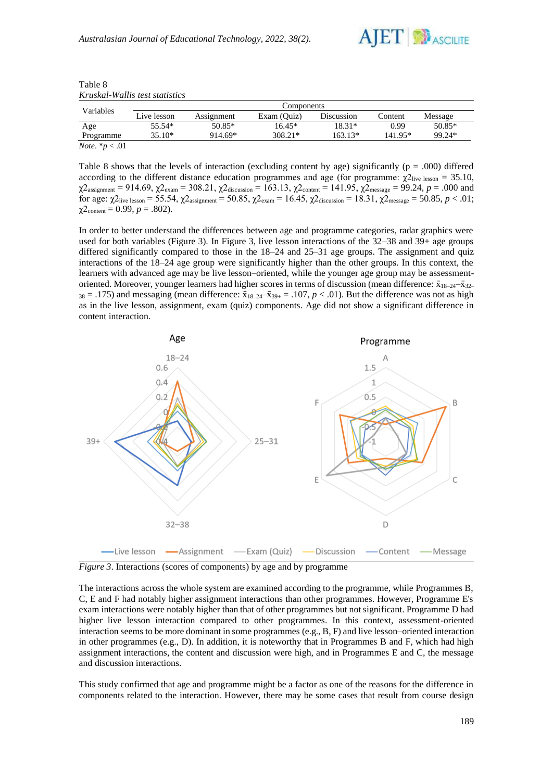

| Kruskal-Wallis test statistics |             |            |             |            |         |         |  |  |
|--------------------------------|-------------|------------|-------------|------------|---------|---------|--|--|
| Variables                      |             |            | Components  |            |         |         |  |  |
|                                | Live lesson | Assignment | Exam (Quiz) | Discussion | Content | Message |  |  |
| $\Delta$ $\sim$ $\sim$         | $55.54*$    | $5005*$    | $16.15*$    | $10.21*$   | റ ററ    | $5005*$ |  |  |

| Table 8                        |  |
|--------------------------------|--|
| Kruskal-Wallis test statistic: |  |

|                           | Live lesson | Assignment | Exam (Quiz)                                                                                                   | Discussion | Content   | Message  |
|---------------------------|-------------|------------|---------------------------------------------------------------------------------------------------------------|------------|-----------|----------|
| Age                       | 55.54*      | 50.85*     | $16.45*$                                                                                                      | $18.31*$   | 0.99      | $50.85*$ |
| Programme                 | $35.10*$    | $914.69*$  | $308.21*$                                                                                                     | $163.13*$  | $141.95*$ | 99.24*   |
| <i>Note</i> . $* p < .01$ |             |            |                                                                                                               |            |           |          |
|                           |             |            |                                                                                                               |            |           |          |
|                           |             |            | Table 8 shows that the levels of interaction (excluding content by age) significantly ( $p = .000$ ) differed |            |           |          |
|                           |             |            | executing to the different distance education programmes and egg (for programme) v                            |            |           | $-25.10$ |

according to the different distance education programmes and age (for programme:  $χ2_{\text{live lesson}} = 35.10$ , χ2assignment = 914.69, χ2exam = 308.21, χ2discussion = 163.13, χ2content = 141.95, χ2message = 99.24, *p* = .000 and for age: χ2live lesson = 55.54, χ2assignment = 50.85, χ2exam = 16.45, χ2discussion = 18.31, χ2message = 50.85, *p* < .01;  $\chi$ 2<sub>content</sub> = 0.99, *p* = .802).

In order to better understand the differences between age and programme categories, radar graphics were used for both variables (Figure 3). In Figure 3, live lesson interactions of the 32–38 and 39+ age groups differed significantly compared to those in the 18–24 and 25–31 age groups. The assignment and quiz interactions of the 18–24 age group were significantly higher than the other groups. In this context, the learners with advanced age may be live lesson–oriented, while the younger age group may be assessmentoriented. Moreover, younger learners had higher scores in terms of discussion (mean difference:  $\bar{x}_{18-24} - \bar{x}_{32-4}$  $38 = .175$ ) and messaging (mean difference:  $\bar{x}_{18-24} - \bar{x}_{39+} = .107$ ,  $p < .01$ ). But the difference was not as high as in the live lesson, assignment, exam (quiz) components. Age did not show a significant difference in content interaction.



*Figure 3*. Interactions (scores of components) by age and by programme

The interactions across the whole system are examined according to the programme, while Programmes B, C, E and F had notably higher assignment interactions than other programmes. However, Programme E's exam interactions were notably higher than that of other programmes but not significant. Programme D had higher live lesson interaction compared to other programmes. In this context, assessment-oriented interaction seems to be more dominant in some programmes (e.g., B, F) and live lesson–oriented interaction in other programmes (e.g., D). In addition, it is noteworthy that in Programmes B and F, which had high assignment interactions, the content and discussion were high, and in Programmes E and C, the message and discussion interactions.

This study confirmed that age and programme might be a factor as one of the reasons for the difference in components related to the interaction. However, there may be some cases that result from course design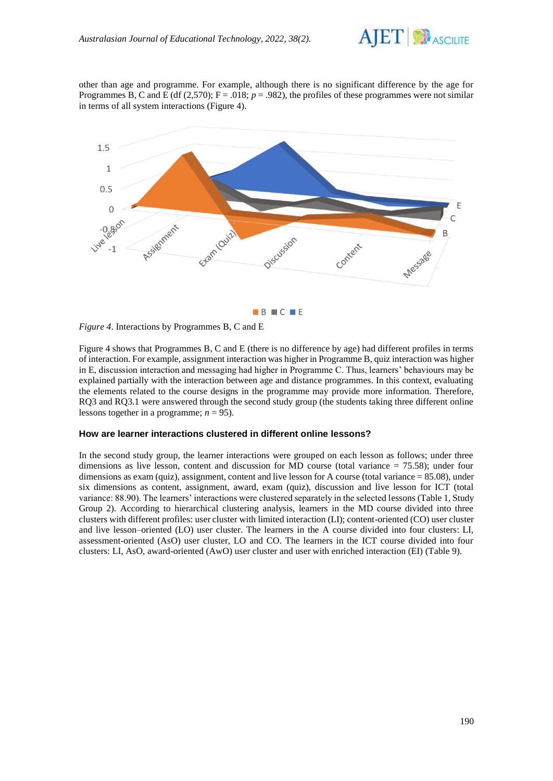

other than age and programme. For example, although there is no significant difference by the age for Programmes B, C and E (df (2,570);  $F = .018$ ;  $p = .982$ ), the profiles of these programmes were not similar in terms of all system interactions (Figure 4).



*Figure 4*. Interactions by Programmes B, C and E

Figure 4 shows that Programmes B, C and E (there is no difference by age) had different profiles in terms of interaction. For example, assignment interaction was higher in Programme B, quiz interaction was higher in E, discussion interaction and messaging had higher in Programme C. Thus, learners' behaviours may be explained partially with the interaction between age and distance programmes. In this context, evaluating the elements related to the course designs in the programme may provide more information. Therefore, RQ3 and RQ3.1 were answered through the second study group (the students taking three different online lessons together in a programme;  $n = 95$ ).

#### **How are learner interactions clustered in different online lessons?**

In the second study group, the learner interactions were grouped on each lesson as follows; under three dimensions as live lesson, content and discussion for MD course (total variance = 75.58); under four dimensions as exam (quiz), assignment, content and live lesson for A course (total variance = 85.08), under six dimensions as content, assignment, award, exam (quiz), discussion and live lesson for ICT (total variance: 88.90). The learners' interactions were clustered separately in the selected lessons (Table 1, Study Group 2). According to hierarchical clustering analysis, learners in the MD course divided into three clusters with different profiles: user cluster with limited interaction (LI); content-oriented (CO) user cluster and live lesson–oriented (LO) user cluster. The learners in the A course divided into four clusters: LI, assessment-oriented (AsO) user cluster, LO and CO. The learners in the ICT course divided into four clusters: LI, AsO, award-oriented (AwO) user cluster and user with enriched interaction (EI) (Table 9).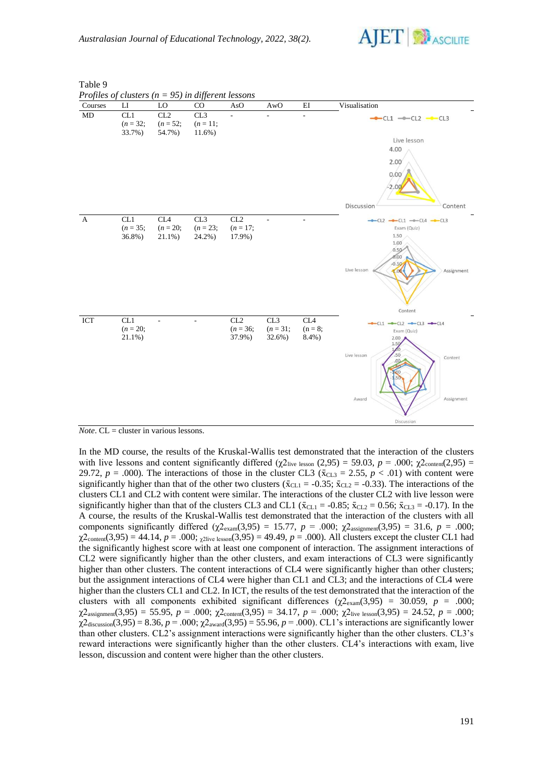

| Courses      | $_{\rm LI}$                 | LO                                          | CO                              | AsO                         | AwO                         | EI                                    | Visualisation                                                                                                                      |
|--------------|-----------------------------|---------------------------------------------|---------------------------------|-----------------------------|-----------------------------|---------------------------------------|------------------------------------------------------------------------------------------------------------------------------------|
| MD           | CL1<br>$(n = 32;$<br>33.7%) | CL2<br>$(n = 52;$<br>54.7%)                 | CL3<br>$(n = 11;$<br>$11.6\%$ ) | $\overline{a}$              | ÷,                          | $\overline{\phantom{a}}$              | $-CL1$ $-CL2$ $-CL3$<br>Live lesson<br>4.00<br>2.00<br>0.00<br>$-2.00$<br>Discussion<br>Content                                    |
| $\mathbf{A}$ | CL1<br>$(n = 35;$<br>36.8%) | CL <sub>4</sub><br>$(n = 20;$<br>$21.1\%$ ) | CL3<br>$(n = 23;$<br>24.2%)     | CL2<br>$(n = 17)$<br>17.9%) |                             | $\sim$                                | $-CL2$ -CL1 -CL4 -CL3<br>Exam (Quiz)<br>1.50<br>1.00<br>0.50<br>0.00<br>$-0.50$<br>Live lesson<br>Assignment<br>$-1.00$<br>Content |
| ICT          | CL1<br>$(n = 20;$<br>21.1%) |                                             |                                 | CL2<br>$(n = 36;$<br>37.9%) | CL3<br>$(n = 31;$<br>32.6%) | CL <sub>4</sub><br>$(n = 8;$<br>8.4%) | $-CL1$ $-CL2$ $-CL3$ $-CL4$<br>Exam (Quiz)<br>2.00<br>1.50<br>.50<br>Live lesson<br>Content<br>Assignment<br>Award<br>Discussion   |

Table 9

*Note*. CL = cluster in various lessons.

In the MD course, the results of the Kruskal-Wallis test demonstrated that the interaction of the clusters with live lessons and content significantly differed  $(\chi^2)_{\text{live lesson}}(2,95) = 59.03$ ,  $p = .000$ ;  $\chi^2$ <sub>content</sub>(2,95) = 29.72,  $p = .000$ ). The interactions of those in the cluster CL3 ( $\bar{x}_{CL3} = 2.55$ ,  $p < .01$ ) with content were significantly higher than that of the other two clusters ( $\bar{x}_{CL1} = -0.35$ ;  $\bar{x}_{CL2} = -0.33$ ). The interactions of the clusters CL1 and CL2 with content were similar. The interactions of the cluster CL2 with live lesson were significantly higher than that of the clusters CL3 and CL1 ( $\bar{x}_{CL1} = -0.85$ ;  $\bar{x}_{CL2} = 0.56$ ;  $\bar{x}_{CL3} = -0.17$ ). In the A course, the results of the Kruskal-Wallis test demonstrated that the interaction of the clusters with all components significantly differed (χ2<sub>exam</sub>(3,95) = 15.77, *p* = .000; χ2<sub>assignment</sub>(3,95) = 31.6, *p* = .000;  $\chi^2$ <sub>content</sub>(3,95) = 44.14, *p* = .000;  $\chi^2$ live lesson(3,95) = 49.49, *p* = .000). All clusters except the cluster CL1 had the significantly highest score with at least one component of interaction. The assignment interactions of CL2 were significantly higher than the other clusters, and exam interactions of CL3 were significantly higher than other clusters. The content interactions of CL4 were significantly higher than other clusters; but the assignment interactions of CL4 were higher than CL1 and CL3; and the interactions of CL4 were higher than the clusters CL1 and CL2. In ICT, the results of the test demonstrated that the interaction of the clusters with all components exhibited significant differences (χ2exam(3,95) = 30.059, *p* = .000;  $\chi^2$ <sub>assignment</sub>(3,95) = 55.95, *p* = .000;  $\chi^2$ <sub>content</sub>(3,95) = 34.17, *p* = .000;  $\chi^2$ <sub>live lesson</sub>(3,95) = 24.52, *p* = .000; χ2discussion(3,95) = 8.36, *p* = .000; χ2award(3,95) = 55.96, *p* = .000). CL1's interactions are significantly lower than other clusters. CL2's assignment interactions were significantly higher than the other clusters. CL3's reward interactions were significantly higher than the other clusters. CL4's interactions with exam, live lesson, discussion and content were higher than the other clusters.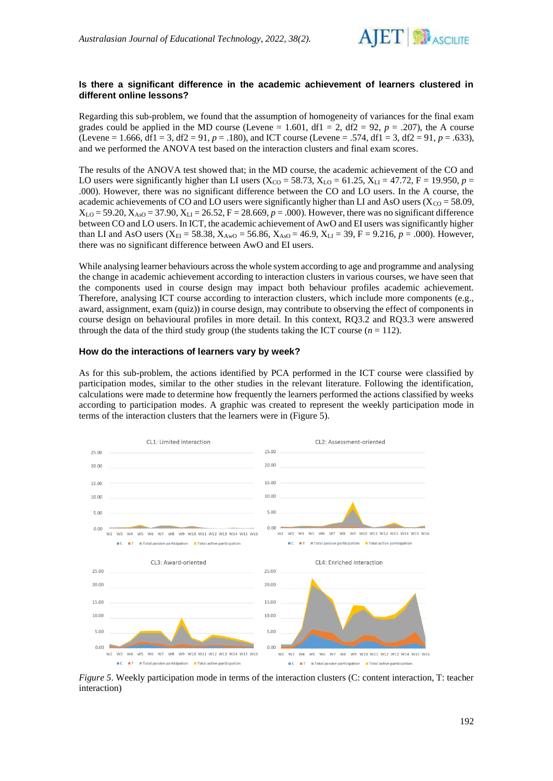

## **Is there a significant difference in the academic achievement of learners clustered in different online lessons?**

Regarding this sub-problem, we found that the assumption of homogeneity of variances for the final exam grades could be applied in the MD course (Levene = 1.601, df1 = 2, df2 = 92,  $p = .207$ ), the A course (Levene = 1.666, df1 = 3, df2 = 91,  $p = .180$ ), and ICT course (Levene = .574, df1 = 3, df2 = 91,  $p = .633$ ), and we performed the ANOVA test based on the interaction clusters and final exam scores.

The results of the ANOVA test showed that; in the MD course, the academic achievement of the CO and LO users were significantly higher than LI users ( $X_{CO} = 58.73$ ,  $X_{LO} = 61.25$ ,  $X_{LI} = 47.72$ , F = 19.950, p = .000). However, there was no significant difference between the CO and LO users. In the A course, the academic achievements of CO and LO users were significantly higher than LI and AsO users ( $X_{CO} = 58.09$ ,  $X_{\text{LO}} = 59.20, X_{\text{AS}} = 37.90, X_{\text{LI}} = 26.52, F = 28.669, p = .000$ . However, there was no significant difference between CO and LO users. In ICT, the academic achievement of AwO and EI users was significantly higher than LI and AsO users (X<sub>EI</sub> = 58.38, X<sub>AwO</sub> = 56.86, X<sub>AsO</sub> = 46.9, X<sub>LI</sub> = 39, F = 9.216, *p* = .000). However, there was no significant difference between AwO and EI users.

While analysing learner behaviours across the whole system according to age and programme and analysing the change in academic achievement according to interaction clusters in various courses, we have seen that the components used in course design may impact both behaviour profiles academic achievement. Therefore, analysing ICT course according to interaction clusters, which include more components (e.g., award, assignment, exam (quiz)) in course design, may contribute to observing the effect of components in course design on behavioural profiles in more detail. In this context, RQ3.2 and RQ3.3 were answered through the data of the third study group (the students taking the ICT course  $(n = 112)$ ).

#### **How do the interactions of learners vary by week?**

As for this sub-problem, the actions identified by PCA performed in the ICT course were classified by participation modes, similar to the other studies in the relevant literature. Following the identification, calculations were made to determine how frequently the learners performed the actions classified by weeks according to participation modes. A graphic was created to represent the weekly participation mode in terms of the interaction clusters that the learners were in (Figure 5).



*Figure 5*. Weekly participation mode in terms of the interaction clusters (C: content interaction, T: teacher interaction)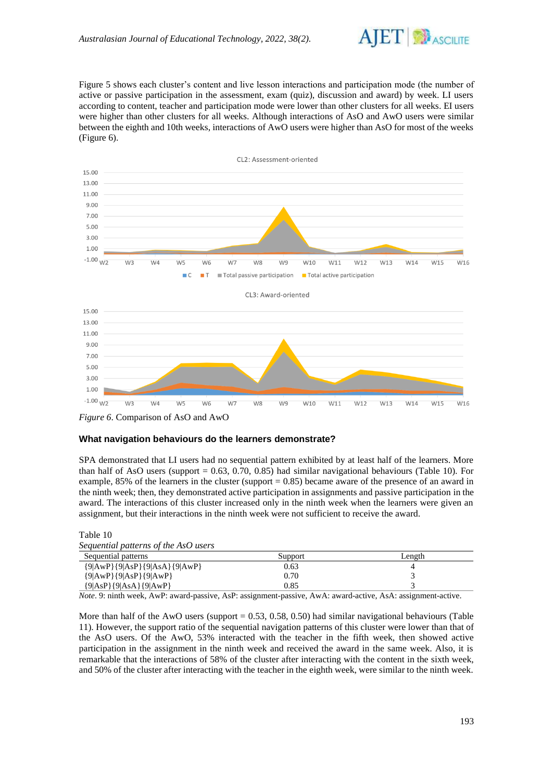

Figure 5 shows each cluster's content and live lesson interactions and participation mode (the number of active or passive participation in the assessment, exam (quiz), discussion and award) by week. LI users according to content, teacher and participation mode were lower than other clusters for all weeks. EI users were higher than other clusters for all weeks. Although interactions of AsO and AwO users were similar between the eighth and 10th weeks, interactions of AwO users were higher than AsO for most of the weeks (Figure 6).



*Figure 6*. Comparison of AsO and AwO

## **What navigation behaviours do the learners demonstrate?**

SPA demonstrated that LI users had no sequential pattern exhibited by at least half of the learners. More than half of AsO users (support  $= 0.63, 0.70, 0.85$ ) had similar navigational behaviours (Table 10). For example,  $85\%$  of the learners in the cluster (support = 0.85) became aware of the presence of an award in the ninth week; then, they demonstrated active participation in assignments and passive participation in the award. The interactions of this cluster increased only in the ninth week when the learners were given an assignment, but their interactions in the ninth week were not sufficient to receive the award.

| Sequential patterns of the AsO users |         |        |
|--------------------------------------|---------|--------|
| Sequential patterns                  | Support | Length |
| ${9 AwP}{9 AsP}{9 AsA}{9 AwP}$       | 0.63    |        |
| ${9 AWP }{9 AsP }{9 AWP }$           | 0.70    |        |
| ${9 AsP}{9 AsA}{9 AwP}$              | 0.85    |        |

Table 10

*Note*. 9: ninth week, AwP: award-passive, AsP: assignment-passive, AwA: award-active, AsA: assignment-active.

More than half of the AwO users (support  $= 0.53, 0.58, 0.50$ ) had similar navigational behaviours (Table 11). However, the support ratio of the sequential navigation patterns of this cluster were lower than that of the AsO users. Of the AwO, 53% interacted with the teacher in the fifth week, then showed active participation in the assignment in the ninth week and received the award in the same week. Also, it is remarkable that the interactions of 58% of the cluster after interacting with the content in the sixth week, and 50% of the cluster after interacting with the teacher in the eighth week, were similar to the ninth week.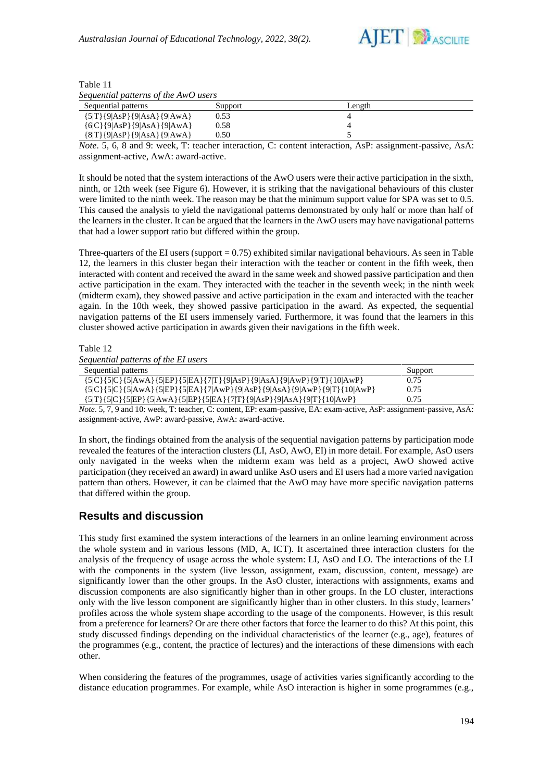

| Table 11                             |  |
|--------------------------------------|--|
| Sequential patterns of the AwO users |  |

| Sequential patterns          | Support | Length |
|------------------------------|---------|--------|
| ${5 T}{9 AsP}{9 AsA}{9 AwA}$ | 0.53    |        |
| ${6 C}{9 AsP}{9 AsA}{9 AwA}$ | 0.58    |        |
| {8 T}{9 AsP}{9 AsA}{9 AwA}   | 0.50    |        |

*Note*. 5, 6, 8 and 9: week, T: teacher interaction, C: content interaction, AsP: assignment-passive, AsA: assignment-active, AwA: award-active.

It should be noted that the system interactions of the AwO users were their active participation in the sixth, ninth, or 12th week (see Figure 6). However, it is striking that the navigational behaviours of this cluster were limited to the ninth week. The reason may be that the minimum support value for SPA was set to 0.5. This caused the analysis to yield the navigational patterns demonstrated by only half or more than half of the learners in the cluster. It can be argued that the learners in the AwO users may have navigational patterns that had a lower support ratio but differed within the group.

Three-quarters of the EI users (support  $= 0.75$ ) exhibited similar navigational behaviours. As seen in Table 12, the learners in this cluster began their interaction with the teacher or content in the fifth week, then interacted with content and received the award in the same week and showed passive participation and then active participation in the exam. They interacted with the teacher in the seventh week; in the ninth week (midterm exam), they showed passive and active participation in the exam and interacted with the teacher again. In the 10th week, they showed passive participation in the award. As expected, the sequential navigation patterns of the EI users immensely varied. Furthermore, it was found that the learners in this cluster showed active participation in awards given their navigations in the fifth week.

Table 12

| Sequential patterns of the EI users                                                         |         |  |
|---------------------------------------------------------------------------------------------|---------|--|
| Sequential patterns                                                                         | Support |  |
| ${5 C}{5 C}{5 AwA}{5 EP}{5 EA}{7 T}{9 AsP}{9 AsA}{9 AwP}{9 T}{10 AwP}$                      | 0.75    |  |
| ${5 C}{5 C}{5 AWA}{5 EP}{5 EA}{7 AWP}{9 AsP}{9 AsA}{9 AwP}{9 T}{10 AwP}$                    | 0.75    |  |
| $\{5 T\}\{5 C\}\{5 EP\}\{5 AwA\}\{5 EP\}\{5 EA\}\{7 T\}\{9 AsP\}\{9 AsA\}\{9 T\}\{10 AwP\}$ | 0.75    |  |

*Note*. 5, 7, 9 and 10: week, T: teacher, C: content, EP: exam-passive, EA: exam-active, AsP: assignment-passive, AsA: assignment-active, AwP: award-passive, AwA: award-active.

In short, the findings obtained from the analysis of the sequential navigation patterns by participation mode revealed the features of the interaction clusters (LI, AsO, AwO, EI) in more detail. For example, AsO users only navigated in the weeks when the midterm exam was held as a project, AwO showed active participation (they received an award) in award unlike AsO users and EI users had a more varied navigation pattern than others. However, it can be claimed that the AwO may have more specific navigation patterns that differed within the group.

## **Results and discussion**

This study first examined the system interactions of the learners in an online learning environment across the whole system and in various lessons (MD, A, ICT). It ascertained three interaction clusters for the analysis of the frequency of usage across the whole system: LI, AsO and LO. The interactions of the LI with the components in the system (live lesson, assignment, exam, discussion, content, message) are significantly lower than the other groups. In the AsO cluster, interactions with assignments, exams and discussion components are also significantly higher than in other groups. In the LO cluster, interactions only with the live lesson component are significantly higher than in other clusters. In this study, learners' profiles across the whole system shape according to the usage of the components. However, is this result from a preference for learners? Or are there other factors that force the learner to do this? At this point, this study discussed findings depending on the individual characteristics of the learner (e.g., age), features of the programmes (e.g., content, the practice of lectures) and the interactions of these dimensions with each other.

When considering the features of the programmes, usage of activities varies significantly according to the distance education programmes. For example, while AsO interaction is higher in some programmes (e.g.,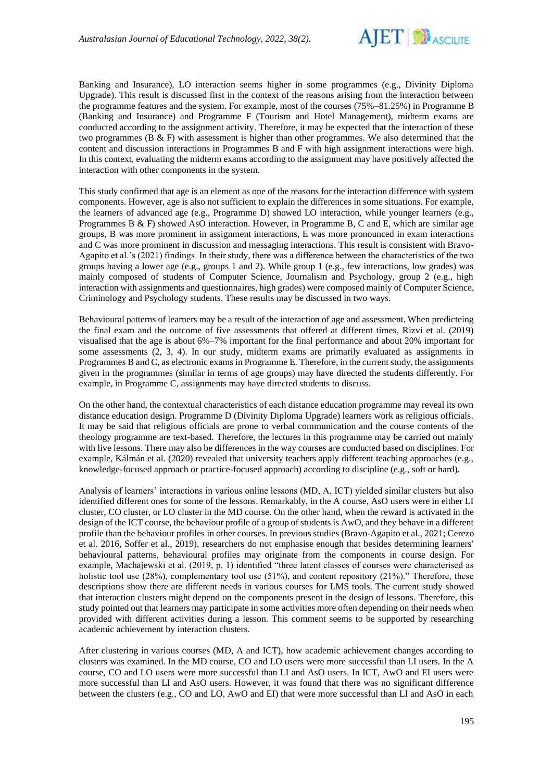

Banking and Insurance), LO interaction seems higher in some programmes (e.g., Divinity Diploma Upgrade). This result is discussed first in the context of the reasons arising from the interaction between the programme features and the system. For example, most of the courses (75%–81.25%) in Programme B (Banking and Insurance) and Programme F (Tourism and Hotel Management), midterm exams are conducted according to the assignment activity. Therefore, it may be expected that the interaction of these two programmes (B & F) with assessment is higher than other programmes. We also determined that the content and discussion interactions in Programmes B and F with high assignment interactions were high. In this context, evaluating the midterm exams according to the assignment may have positively affected the interaction with other components in the system.

This study confirmed that age is an element as one of the reasons for the interaction difference with system components. However, age is also not sufficient to explain the differences in some situations. For example, the learners of advanced age (e.g., Programme D) showed LO interaction, while younger learners (e.g., Programmes B & F) showed AsO interaction. However, in Programme B, C and E, which are similar age groups, B was more prominent in assignment interactions, E was more pronounced in exam interactions and C was more prominent in discussion and messaging interactions. This result is consistent with Bravo-Agapito et al.'s (2021) findings. In their study, there was a difference between the characteristics of the two groups having a lower age (e.g., groups 1 and 2). While group 1 (e.g., few interactions, low grades) was mainly composed of students of Computer Science, Journalism and Psychology, group 2 (e.g., high interaction with assignments and questionnaires, high grades) were composed mainly of Computer Science, Criminology and Psychology students. These results may be discussed in two ways.

Behavioural patterns of learners may be a result of the interaction of age and assessment. When predicteing the final exam and the outcome of five assessments that offered at different times, Rizvi et al. (2019) visualised that the age is about 6%–7% important for the final performance and about 20% important for some assessments (2, 3, 4). In our study, midterm exams are primarily evaluated as assignments in Programmes B and C, as electronic exams in Programme E. Therefore, in the current study, the assignments given in the programmes (similar in terms of age groups) may have directed the students differently. For example, in Programme C, assignments may have directed students to discuss.

On the other hand, the contextual characteristics of each distance education programme may reveal its own distance education design. Programme D (Divinity Diploma Upgrade) learners work as religious officials. It may be said that religious officials are prone to verbal communication and the course contents of the theology programme are text-based. Therefore, the lectures in this programme may be carried out mainly with live lessons. There may also be differences in the way courses are conducted based on disciplines. For example, Kálmán et al. (2020) revealed that university teachers apply different teaching approaches (e.g., knowledge-focused approach or practice-focused approach) according to discipline (e.g., soft or hard).

Analysis of learners' interactions in various online lessons (MD, A, ICT) yielded similar clusters but also identified different ones for some of the lessons. Remarkably, in the A course, AsO users were in either LI cluster, CO cluster, or LO cluster in the MD course. On the other hand, when the reward is activated in the design of the ICT course, the behaviour profile of a group of students is AwO, and they behave in a different profile than the behaviour profiles in other courses. In previous studies (Bravo-Agapito et al., 2021; Cerezo et al. 2016, Soffer et al., 2019), researchers do not emphasise enough that besides determining learners' behavioural patterns, behavioural profiles may originate from the components in course design. For example, Machajewski et al. (2019, p. 1) identified "three latent classes of courses were characterised as holistic tool use (28%), complementary tool use (51%), and content repository (21%)." Therefore, these descriptions show there are different needs in various courses for LMS tools. The current study showed that interaction clusters might depend on the components present in the design of lessons. Therefore, this study pointed out that learners may participate in some activities more often depending on their needs when provided with different activities during a lesson. This comment seems to be supported by researching academic achievement by interaction clusters.

After clustering in various courses (MD, A and ICT), how academic achievement changes according to clusters was examined. In the MD course, CO and LO users were more successful than LI users. In the A course, CO and LO users were more successful than LI and AsO users. In ICT, AwO and EI users were more successful than LI and AsO users. However, it was found that there was no significant difference between the clusters (e.g., CO and LO, AwO and EI) that were more successful than LI and AsO in each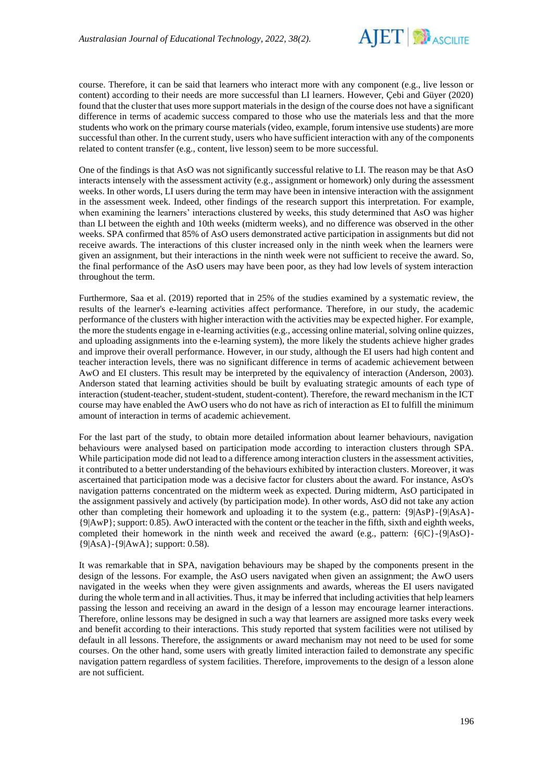

course. Therefore, it can be said that learners who interact more with any component (e.g., live lesson or content) according to their needs are more successful than LI learners. However, Çebi and Güyer (2020) found that the cluster that uses more support materials in the design of the course does not have a significant difference in terms of academic success compared to those who use the materials less and that the more students who work on the primary course materials (video, example, forum intensive use students) are more successful than other. In the current study, users who have sufficient interaction with any of the components related to content transfer (e.g., content, live lesson) seem to be more successful.

One of the findings is that AsO was not significantly successful relative to LI. The reason may be that AsO interacts intensely with the assessment activity (e.g., assignment or homework) only during the assessment weeks. In other words, LI users during the term may have been in intensive interaction with the assignment in the assessment week. Indeed, other findings of the research support this interpretation. For example, when examining the learners' interactions clustered by weeks, this study determined that AsO was higher than LI between the eighth and 10th weeks (midterm weeks), and no difference was observed in the other weeks. SPA confirmed that 85% of AsO users demonstrated active participation in assignments but did not receive awards. The interactions of this cluster increased only in the ninth week when the learners were given an assignment, but their interactions in the ninth week were not sufficient to receive the award. So, the final performance of the AsO users may have been poor, as they had low levels of system interaction throughout the term.

Furthermore, Saa et al. (2019) reported that in 25% of the studies examined by a systematic review, the results of the learner's e-learning activities affect performance. Therefore, in our study, the academic performance of the clusters with higher interaction with the activities may be expected higher. For example, the more the students engage in e-learning activities (e.g., accessing online material, solving online quizzes, and uploading assignments into the e-learning system), the more likely the students achieve higher grades and improve their overall performance. However, in our study, although the EI users had high content and teacher interaction levels, there was no significant difference in terms of academic achievement between AwO and EI clusters. This result may be interpreted by the equivalency of interaction (Anderson, 2003). Anderson stated that learning activities should be built by evaluating strategic amounts of each type of interaction (student-teacher, student-student, student-content). Therefore, the reward mechanism in the ICT course may have enabled the AwO users who do not have as rich of interaction as EI to fulfill the minimum amount of interaction in terms of academic achievement.

For the last part of the study, to obtain more detailed information about learner behaviours, navigation behaviours were analysed based on participation mode according to interaction clusters through SPA. While participation mode did not lead to a difference among interaction clusters in the assessment activities, it contributed to a better understanding of the behaviours exhibited by interaction clusters. Moreover, it was ascertained that participation mode was a decisive factor for clusters about the award. For instance, AsO's navigation patterns concentrated on the midterm week as expected. During midterm, AsO participated in the assignment passively and actively (by participation mode). In other words, AsO did not take any action other than completing their homework and uploading it to the system (e.g., pattern: {9|AsP}-{9|AsA}- {9|AwP}; support: 0.85). AwO interacted with the content or the teacher in the fifth, sixth and eighth weeks, completed their homework in the ninth week and received the award (e.g., pattern:  ${6|C}$ - ${9|AsO}$ -{9|AsA}-{9|AwA}; support: 0.58).

It was remarkable that in SPA, navigation behaviours may be shaped by the components present in the design of the lessons. For example, the AsO users navigated when given an assignment; the AwO users navigated in the weeks when they were given assignments and awards, whereas the EI users navigated during the whole term and in all activities. Thus, it may be inferred that including activities that help learners passing the lesson and receiving an award in the design of a lesson may encourage learner interactions. Therefore, online lessons may be designed in such a way that learners are assigned more tasks every week and benefit according to their interactions. This study reported that system facilities were not utilised by default in all lessons. Therefore, the assignments or award mechanism may not need to be used for some courses. On the other hand, some users with greatly limited interaction failed to demonstrate any specific navigation pattern regardless of system facilities. Therefore, improvements to the design of a lesson alone are not sufficient.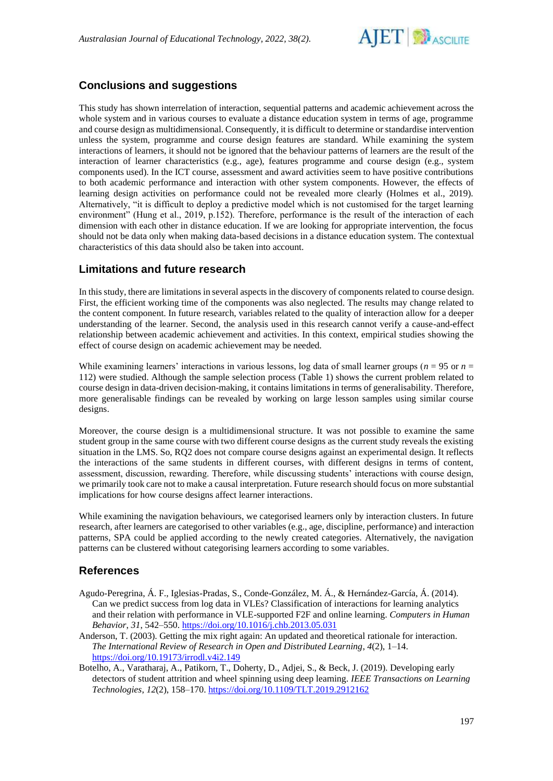

# **Conclusions and suggestions**

This study has shown interrelation of interaction, sequential patterns and academic achievement across the whole system and in various courses to evaluate a distance education system in terms of age, programme and course design as multidimensional. Consequently, it is difficult to determine or standardise intervention unless the system, programme and course design features are standard. While examining the system interactions of learners, it should not be ignored that the behaviour patterns of learners are the result of the interaction of learner characteristics (e.g., age), features programme and course design (e.g., system components used). In the ICT course, assessment and award activities seem to have positive contributions to both academic performance and interaction with other system components. However, the effects of learning design activities on performance could not be revealed more clearly (Holmes et al., 2019). Alternatively, "it is difficult to deploy a predictive model which is not customised for the target learning environment" (Hung et al., 2019, p.152). Therefore, performance is the result of the interaction of each dimension with each other in distance education. If we are looking for appropriate intervention, the focus should not be data only when making data-based decisions in a distance education system. The contextual characteristics of this data should also be taken into account.

## **Limitations and future research**

In this study, there are limitations in several aspects in the discovery of components related to course design. First, the efficient working time of the components was also neglected. The results may change related to the content component. In future research, variables related to the quality of interaction allow for a deeper understanding of the learner. Second, the analysis used in this research cannot verify a cause-and-effect relationship between academic achievement and activities. In this context, empirical studies showing the effect of course design on academic achievement may be needed.

While examining learners' interactions in various lessons, log data of small learner groups ( $n = 95$  or  $n =$ 112) were studied. Although the sample selection process (Table 1) shows the current problem related to course design in data-driven decision-making, it contains limitations in terms of generalisability. Therefore, more generalisable findings can be revealed by working on large lesson samples using similar course designs.

Moreover, the course design is a multidimensional structure. It was not possible to examine the same student group in the same course with two different course designs as the current study reveals the existing situation in the LMS. So, RQ2 does not compare course designs against an experimental design. It reflects the interactions of the same students in different courses, with different designs in terms of content, assessment, discussion, rewarding. Therefore, while discussing students' interactions with course design, we primarily took care not to make a causal interpretation. Future research should focus on more substantial implications for how course designs affect learner interactions.

While examining the navigation behaviours, we categorised learners only by interaction clusters. In future research, after learners are categorised to other variables (e.g., age, discipline, performance) and interaction patterns, SPA could be applied according to the newly created categories. Alternatively, the navigation patterns can be clustered without categorising learners according to some variables.

## **References**

- Agudo-Peregrina, Á. F., Iglesias-Pradas, S., Conde-González, M. Á., & Hernández-García, Á. (2014). Can we predict success from log data in VLEs? Classification of interactions for learning analytics and their relation with performance in VLE-supported F2F and online learning. *Computers in Human Behavior*, *31*, 542–550.<https://doi.org/10.1016/j.chb.2013.05.031>
- Anderson, T. (2003). Getting the mix right again: An updated and theoretical rationale for interaction. *The International Review of Research in Open and Distributed Learning*, *4*(2), 1–14. <https://doi.org/10.19173/irrodl.v4i2.149>
- Botelho, A., Varatharaj, A., Patikorn, T., Doherty, D., Adjei, S., & Beck, J. (2019). Developing early detectors of student attrition and wheel spinning using deep learning. *IEEE Transactions on Learning Technologies*, *12*(2), 158–170. <https://doi.org/10.1109/TLT.2019.2912162>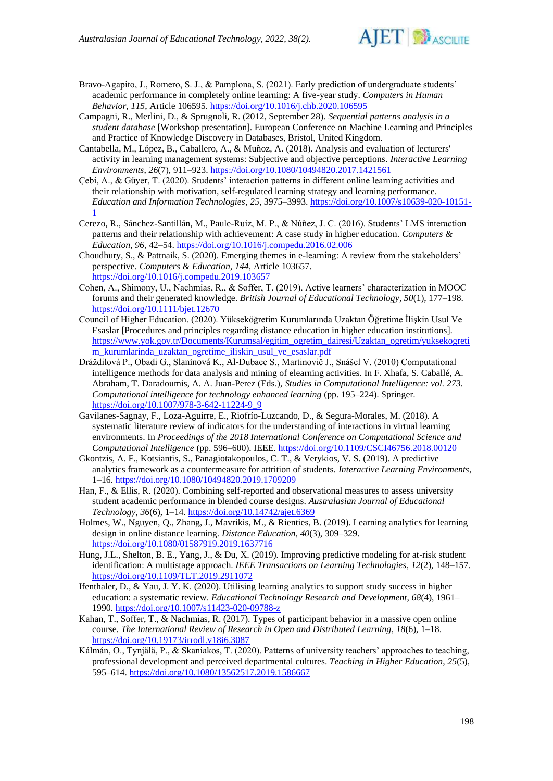

- Bravo-Agapito, J., Romero, S. J., & Pamplona, S. (2021). Early prediction of undergraduate students' academic performance in completely online learning: A five-year study. *Computers in Human Behavior*, *115*, Article 106595.<https://doi.org/10.1016/j.chb.2020.106595>
- Campagni, R., Merlini, D., & Sprugnoli, R. (2012, September 28). *Sequential patterns analysis in a student database* [Workshop presentation]. European Conference on Machine Learning and Principles and Practice of Knowledge Discovery in Databases, Bristol, United Kingdom.
- Cantabella, M., López, B., Caballero, A., & Muñoz, A. (2018). Analysis and evaluation of lecturers' activity in learning management systems: Subjective and objective perceptions. *Interactive Learning Environments*, *26*(7), 911–923[. https://doi.org/10.1080/10494820.2017.1421561](https://doi.org/10.1080/10494820.2017.1421561)
- Çebi, A., & Güyer, T. (2020). Students' interaction patterns in different online learning activities and their relationship with motivation, self-regulated learning strategy and learning performance. *Education and Information Technologies*, *25*, 3975–3993. [https://doi.org/10.1007/s10639-020-10151-](https://doi.org/10.1007/s10639-020-10151-1) [1](https://doi.org/10.1007/s10639-020-10151-1)
- Cerezo, R., Sánchez-Santillán, M., Paule-Ruiz, M. P., & Núñez, J. C. (2016). Students' LMS interaction patterns and their relationship with achievement: A case study in higher education. *Computers & Education*, *96*, 42–54.<https://doi.org/10.1016/j.compedu.2016.02.006>
- Choudhury, S., & Pattnaik, S. (2020). Emerging themes in e-learning: A review from the stakeholders' perspective. *Computers & Education*, *144*, Article 103657. <https://doi.org/10.1016/j.compedu.2019.103657>
- Cohen, A., Shimony, U., Nachmias, R., & Soffer, T. (2019). Active learners' characterization in MOOC forums and their generated knowledge. *British Journal of Educational Technology*, *50*(1), 177–198. <https://doi.org/10.1111/bjet.12670>
- Council of Higher Education. (2020). Yükseköğretim Kurumlarında Uzaktan Öğretime İlişkin Usul Ve Esaslar [Procedures and principles regarding distance education in higher education institutions]. [https://www.yok.gov.tr/Documents/Kurumsal/egitim\\_ogretim\\_dairesi/Uzaktan\\_ogretim/yuksekogreti](https://www.yok.gov.tr/Documents/Kurumsal/egitim_ogretim_dairesi/Uzaktan_ogretim/yuksekogretim_kurumlarinda_uzaktan_ogretime_iliskin_usul_ve_esaslar.pdf) [m\\_kurumlarinda\\_uzaktan\\_ogretime\\_iliskin\\_usul\\_ve\\_esaslar.pdf](https://www.yok.gov.tr/Documents/Kurumsal/egitim_ogretim_dairesi/Uzaktan_ogretim/yuksekogretim_kurumlarinda_uzaktan_ogretime_iliskin_usul_ve_esaslar.pdf)
- Dráždilová P., Obadi G., Slaninová K., Al-Dubaee S., Martinovič J., Snášel V. (2010) Computational intelligence methods for data analysis and mining of elearning activities. In F. Xhafa, S. Caballé, A. Abraham, T. Daradoumis, A. A. Juan-Perez (Eds.), *Studies in Computational Intelligence: vol. 273. Computational intelligence for technology enhanced learning (pp. 195–224). Springer.* [https://doi.org/10.1007/978-3-642-11224-9\\_9](https://doi.org/10.1007/978-3-642-11224-9_9)
- Gavilanes-Sagnay, F., Loza-Aguirre, E., Riofrío-Luzcando, D., & Segura-Morales, M. (2018). A systematic literature review of indicators for the understanding of interactions in virtual learning environments. In *Proceedings of the 2018 International Conference on Computational Science and Computational Intelligence* (pp. 596–600). IEEE.<https://doi.org/10.1109/CSCI46756.2018.00120>
- Gkontzis, A. F., Kotsiantis, S., Panagiotakopoulos, C. T., & Verykios, V. S. (2019). A predictive analytics framework as a countermeasure for attrition of students. *Interactive Learning Environments*, 1–16.<https://doi.org/10.1080/10494820.2019.1709209>
- Han, F., & Ellis, R. (2020). Combining self-reported and observational measures to assess university student academic performance in blended course designs. *Australasian Journal of Educational Technology*, *36*(6), 1–14[. https://doi.org/10.14742/ajet.6369](https://doi.org/10.14742/ajet.6369)
- Holmes, W., Nguyen, Q., Zhang, J., Mavrikis, M., & Rienties, B. (2019). Learning analytics for learning design in online distance learning. *Distance Education*, *40*(3), 309–329. <https://doi.org/10.1080/01587919.2019.1637716>
- Hung, J.L., Shelton, B. E., Yang, J., & Du, X. (2019). Improving predictive modeling for at-risk student identification: A multistage approach. *IEEE Transactions on Learning Technologies*, *12*(2), 148–157. <https://doi.org/10.1109/TLT.2019.2911072>
- Ifenthaler, D., & Yau, J. Y. K. (2020). Utilising learning analytics to support study success in higher education: a systematic review. *Educational Technology Research and Development*, *68*(4), 1961– 1990.<https://doi.org/10.1007/s11423-020-09788-z>
- Kahan, T., Soffer, T., & Nachmias, R. (2017). Types of participant behavior in a massive open online course*. The International Review of Research in Open and Distributed Learning*, *18*(6), 1–18. <https://doi.org/10.19173/irrodl.v18i6.3087>
- Kálmán, O., Tynjälä, P., & Skaniakos, T. (2020). Patterns of university teachers' approaches to teaching, professional development and perceived departmental cultures. *Teaching in Higher Education*, *25*(5), 595–614.<https://doi.org/10.1080/13562517.2019.1586667>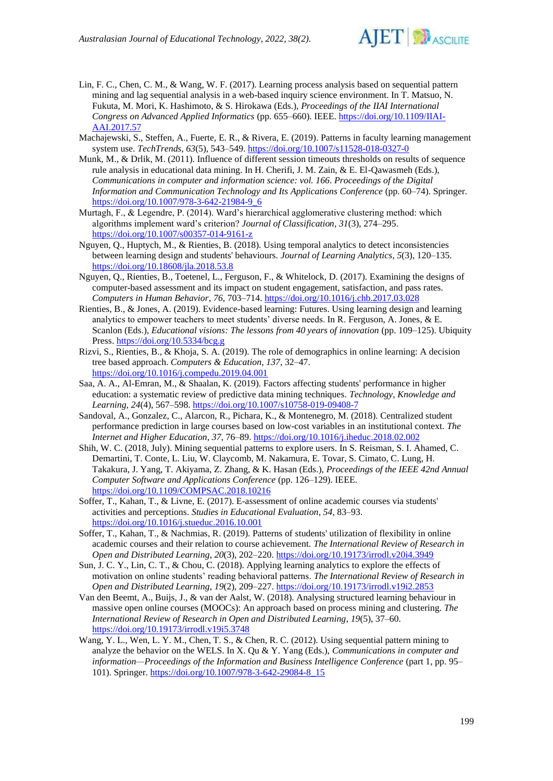

- Lin, F. C., Chen, C. M., & Wang, W. F. (2017). Learning process analysis based on sequential pattern mining and lag sequential analysis in a web-based inquiry science environment. In T. Matsuo, N. Fukuta, M. Mori, K. Hashimoto, & S. Hirokawa (Eds.), *Proceedings of the IIAI International Congress on Advanced Applied Informatics* (pp. 655–660). IEEE[. https://doi.org/10.1109/IIAI-](https://doi.org/10.1109/IIAI-AAI.2017.57)[AAI.2017.57](https://doi.org/10.1109/IIAI-AAI.2017.57)
- Machajewski, S., Steffen, A., Fuerte, E. R., & Rivera, E. (2019). Patterns in faculty learning management system use. *TechTrends*, *63*(5), 543–549[. https://doi.org/10.1007/s11528-018-0327-0](https://doi.org/10.1007/s11528-018-0327-0)
- Munk, M., & Drlik, M. (2011). Influence of different session timeouts thresholds on results of sequence rule analysis in educational data mining. In H. Cherifi, J. M. Zain, & E. El-Qawasmeh (Eds.), *Communications in computer and information science: vol. 166*. *Proceedings of the Digital Information and Communication Technology and Its Applications Conference* (pp. 60–74). Springer. [https://doi.org/10.1007/978-3-642-21984-9\\_6](https://doi.org/10.1007/978-3-642-21984-9_6)
- Murtagh, F., & Legendre, P. (2014). Ward's hierarchical agglomerative clustering method: which algorithms implement ward's criterion? *Journal of Classification*, *31*(3), 274–295. <https://doi.org/10.1007/s00357-014-9161-z>
- Nguyen, Q., Huptych, M., & Rienties, B. (2018). Using temporal analytics to detect inconsistencies between learning design and students' behaviours. *Journal of Learning Analytics*, *5*(3), 120–135. <https://doi.org/10.18608/jla.2018.53.8>
- Nguyen, Q., Rienties, B., Toetenel, L., Ferguson, F., & Whitelock, D. (2017). Examining the designs of computer-based assessment and its impact on student engagement, satisfaction, and pass rates. *Computers in Human Behavior*, *76*, 703–714[. https://doi.org/10.1016/j.chb.2017.03.028](https://doi.org/10.1016/j.chb.2017.03.028)
- Rienties, B., & Jones, A. (2019). Evidence-based learning: Futures. Using learning design and learning analytics to empower teachers to meet students' diverse needs. In R. Ferguson, A. Jones, & E. Scanlon (Eds.), *Educational visions: The lessons from 40 years of innovation* (pp. 109–125). Ubiquity Press[. https://doi.org/10.5334/bcg.g](https://doi.org/10.5334/bcg.g)
- Rizvi, S., Rienties, B., & Khoja, S. A. (2019). The role of demographics in online learning: A decision tree based approach. *Computers & Education*, *137*, 32–47. <https://doi.org/10.1016/j.compedu.2019.04.001>
- Saa, A. A., Al-Emran, M., & Shaalan, K. (2019). Factors affecting students' performance in higher education: a systematic review of predictive data mining techniques. *Technology, Knowledge and Learning*, *24*(4), 567–598[. https://doi.org/10.1007/s10758-019-09408-7](https://doi.org/10.1007/s10758-019-09408-7)
- Sandoval, A., Gonzalez, C., Alarcon, R., Pichara, K., & Montenegro, M. (2018). Centralized student performance prediction in large courses based on low-cost variables in an institutional context. *The Internet and Higher Education*, *37*, 76–89.<https://doi.org/10.1016/j.iheduc.2018.02.002>
- Shih, W. C. (2018, July). Mining sequential patterns to explore users. In S. Reisman, S. I. Ahamed, C. Demartini, T. Conte, L. Liu, W. Claycomb, M. Nakamura, E. Tovar, S. Cimato, C. Lung, H. Takakura, J. Yang, T. Akiyama, Z. Zhang, & K. Hasan (Eds.), *Proceedings of the IEEE 42nd Annual Computer Software and Applications Conference* (pp. 126–129). IEEE. <https://doi.org/10.1109/COMPSAC.2018.10216>
- Soffer, T., Kahan, T., & Livne, E. (2017). E-assessment of online academic courses via students' activities and perceptions. *Studies in Educational Evaluation*, *54*, 83–93. <https://doi.org/10.1016/j.stueduc.2016.10.001>
- Soffer, T., Kahan, T., & Nachmias, R. (2019). Patterns of students' utilization of flexibility in online academic courses and their relation to course achievement. *The International Review of Research in Open and Distributed Learning*, *20*(3), 202–220.<https://doi.org/10.19173/irrodl.v20i4.3949>
- Sun, J. C. Y., Lin, C. T., & Chou, C. (2018). Applying learning analytics to explore the effects of motivation on online students' reading behavioral patterns. *The International Review of Research in Open and Distributed Learning*, *19*(2), 209–227.<https://doi.org/10.19173/irrodl.v19i2.2853>
- Van den Beemt, A., Buijs, J., & van der Aalst, W. (2018). Analysing structured learning behaviour in massive open online courses (MOOCs): An approach based on process mining and clustering. *The International Review of Research in Open and Distributed Learning*, *19*(5), 37–60. <https://doi.org/10.19173/irrodl.v19i5.3748>
- Wang, Y. L., Wen, L. Y. M., Chen, T. S., & Chen, R. C. (2012). Using sequential pattern mining to analyze the behavior on the WELS. In X. Qu & Y. Yang (Eds.), *Communications in computer and information—Proceedings of the Information and Business Intelligence Conference* (part 1, pp. 95– 101). Springer. [https://doi.org/10.1007/978-3-642-29084-8\\_15](https://doi.org/10.1007/978-3-642-29084-8_15)